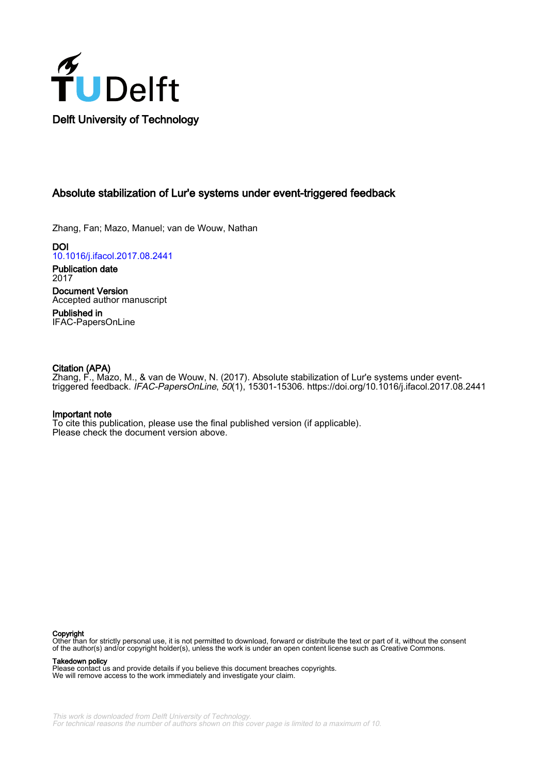

# Absolute stabilization of Lur'e systems under event-triggered feedback

Zhang, Fan; Mazo, Manuel; van de Wouw, Nathan

DOI [10.1016/j.ifacol.2017.08.2441](https://doi.org/10.1016/j.ifacol.2017.08.2441)

Publication date 2017 Document Version Accepted author manuscript

Published in IFAC-PapersOnLine

# Citation (APA)

Zhang, F., Mazo, M., & van de Wouw, N. (2017). Absolute stabilization of Lur'e systems under eventtriggered feedback. IFAC-PapersOnLine, 50(1), 15301-15306.<https://doi.org/10.1016/j.ifacol.2017.08.2441>

# Important note

To cite this publication, please use the final published version (if applicable). Please check the document version above.

#### Copyright

Other than for strictly personal use, it is not permitted to download, forward or distribute the text or part of it, without the consent of the author(s) and/or copyright holder(s), unless the work is under an open content license such as Creative Commons.

Takedown policy

Please contact us and provide details if you believe this document breaches copyrights. We will remove access to the work immediately and investigate your claim.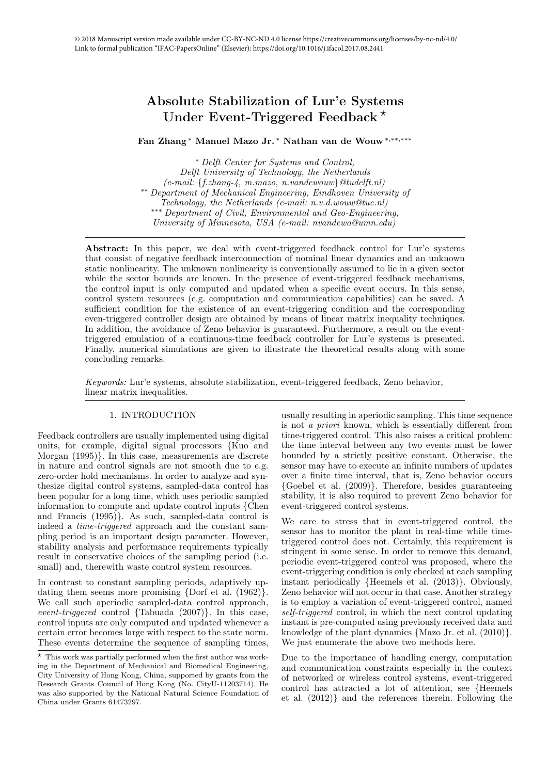# Absolute Stabilization of Lur'e Systems Under Event-Triggered Feedback<sup>\*</sup>

Fan Zhang <sup>∗</sup> Manuel Mazo Jr. <sup>∗</sup> Nathan van de Wouw <sup>∗</sup>,∗∗,∗∗∗

<sup>∗</sup> Delft Center for Systems and Control, Delft University of Technology, the Netherlands  $(e-mail: \{fizhang-4, m.maxo, n.vandewouw\} @tude[ft.nl])$ ∗∗ Department of Mechanical Engineering, Eindhoven University of Technology, the Netherlands (e-mail: n.v.d.wouw@tue.nl) ∗∗∗ Department of Civil, Environmental and Geo-Engineering, University of Minnesota, USA (e-mail: nvandewo@umn.edu)

Abstract: In this paper, we deal with event-triggered feedback control for Lur'e systems that consist of negative feedback interconnection of nominal linear dynamics and an unknown static nonlinearity. The unknown nonlinearity is conventionally assumed to lie in a given sector while the sector bounds are known. In the presence of event-triggered feedback mechanisms, the control input is only computed and updated when a specific event occurs. In this sense, control system resources (e.g. computation and communication capabilities) can be saved. A sufficient condition for the existence of an event-triggering condition and the corresponding even-triggered controller design are obtained by means of linear matrix inequality techniques. In addition, the avoidance of Zeno behavior is guaranteed. Furthermore, a result on the eventtriggered emulation of a continuous-time feedback controller for Lur'e systems is presented. Finally, numerical simulations are given to illustrate the theoretical results along with some concluding remarks.

Keywords: Lur'e systems, absolute stabilization, event-triggered feedback, Zeno behavior, linear matrix inequalities.

# 1. INTRODUCTION

Feedback controllers are usually implemented using digital units, for example, digital signal processors {Kuo and Morgan (1995)}. In this case, measurements are discrete in nature and control signals are not smooth due to e.g. zero-order hold mechanisms. In order to analyze and synthesize digital control systems, sampled-data control has been popular for a long time, which uses periodic sampled information to compute and update control inputs {Chen and Francis (1995)}. As such, sampled-data control is indeed a time-triggered approach and the constant sampling period is an important design parameter. However, stability analysis and performance requirements typically result in conservative choices of the sampling period (i.e. small) and, therewith waste control system resources.

In contrast to constant sampling periods, adaptively updating them seems more promising {Dorf et al. (1962)}. We call such aperiodic sampled-data control approach, event-triggered control {Tabuada (2007)}. In this case, control inputs are only computed and updated whenever a certain error becomes large with respect to the state norm. These events determine the sequence of sampling times, usually resulting in aperiodic sampling. This time sequence is not a priori known, which is essentially different from time-triggered control. This also raises a critical problem: the time interval between any two events must be lower bounded by a strictly positive constant. Otherwise, the sensor may have to execute an infinite numbers of updates over a finite time interval, that is, Zeno behavior occurs {Goebel et al. (2009)}. Therefore, besides guaranteeing stability, it is also required to prevent Zeno behavior for event-triggered control systems.

We care to stress that in event-triggered control, the sensor has to monitor the plant in real-time while timetriggered control does not. Certainly, this requirement is stringent in some sense. In order to remove this demand, periodic event-triggered control was proposed, where the event-triggering condition is only checked at each sampling instant periodically {Heemels et al. (2013)}. Obviously, Zeno behavior will not occur in that case. Another strategy is to employ a variation of event-triggered control, named self-triggered control, in which the next control updating instant is pre-computed using previously received data and knowledge of the plant dynamics {Mazo Jr. et al. (2010)}. We just enumerate the above two methods here.

Due to the importance of handling energy, computation and communication constraints especially in the context of networked or wireless control systems, event-triggered control has attracted a lot of attention, see {Heemels et al. (2012)} and the references therein. Following the

 $*$  This work was partially performed when the first author was working in the Department of Mechanical and Biomedical Engineering, City University of Hong Kong, China, supported by grants from the Research Grants Council of Hong Kong (No. CityU-11203714). He was also supported by the National Natural Science Foundation of China under Grants 61473297.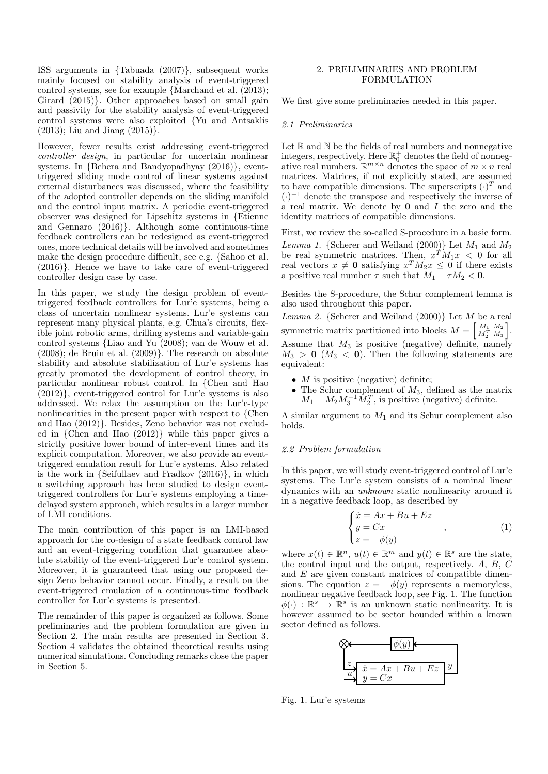ISS arguments in {Tabuada (2007)}, subsequent works mainly focused on stability analysis of event-triggered control systems, see for example {Marchand et al. (2013); Girard (2015)}. Other approaches based on small gain and passivity for the stability analysis of event-triggered control systems were also exploited {Yu and Antsaklis  $(2013)$ ; Liu and Jiang  $(2015)$ .

However, fewer results exist addressing event-triggered controller design, in particular for uncertain nonlinear systems. In {Behera and Bandyopadhyay (2016)}, eventtriggered sliding mode control of linear systems against external disturbances was discussed, where the feasibility of the adopted controller depends on the sliding manifold and the control input matrix. A periodic event-triggered observer was designed for Lipschitz systems in {Etienne and Gennaro (2016)}. Although some continuous-time feedback controllers can be redesigned as event-triggered ones, more technical details will be involved and sometimes make the design procedure difficult, see e.g. {Sahoo et al. (2016)}. Hence we have to take care of event-triggered controller design case by case.

In this paper, we study the design problem of eventtriggered feedback controllers for Lur'e systems, being a class of uncertain nonlinear systems. Lur'e systems can represent many physical plants, e.g. Chua's circuits, flexible joint robotic arms, drilling systems and variable-gain control systems {Liao and Yu (2008); van de Wouw et al. (2008); de Bruin et al. (2009)}. The research on absolute stability and absolute stabilization of Lur'e systems has greatly promoted the development of control theory, in particular nonlinear robust control. In {Chen and Hao (2012)}, event-triggered control for Lur'e systems is also addressed. We relax the assumption on the Lur'e-type nonlinearities in the present paper with respect to {Chen and Hao (2012)}. Besides, Zeno behavior was not excluded in {Chen and Hao (2012)} while this paper gives a strictly positive lower bound of inter-event times and its explicit computation. Moreover, we also provide an eventtriggered emulation result for Lur'e systems. Also related is the work in {Seifullaev and Fradkov (2016)}, in which a switching approach has been studied to design eventtriggered controllers for Lur'e systems employing a timedelayed system approach, which results in a larger number of LMI conditions.

The main contribution of this paper is an LMI-based approach for the co-design of a state feedback control law and an event-triggering condition that guarantee absolute stability of the event-triggered Lur'e control system. Moreover, it is guaranteed that using our proposed design Zeno behavior cannot occur. Finally, a result on the event-triggered emulation of a continuous-time feedback controller for Lur'e systems is presented.

The remainder of this paper is organized as follows. Some preliminaries and the problem formulation are given in Section 2. The main results are presented in Section 3. Section 4 validates the obtained theoretical results using numerical simulations. Concluding remarks close the paper in Section 5.

# 2. PRELIMINARIES AND PROBLEM FORMULATION

We first give some preliminaries needed in this paper.

#### 2.1 Preliminaries

Let  $\mathbb R$  and  $\mathbb N$  be the fields of real numbers and nonnegative integers, respectively. Here  $\mathbb{R}^+_0$  denotes the field of nonnegative real numbers.  $\mathbb{R}^{m \times n}$  denotes the space of  $m \times n$  real matrices. Matrices, if not explicitly stated, are assumed to have compatible dimensions. The superscripts  $(\cdot)^T$  and  $(\cdot)^{-1}$  denote the transpose and respectively the inverse of a real matrix. We denote by  $\mathbf 0$  and  $I$  the zero and the identity matrices of compatible dimensions.

First, we review the so-called S-procedure in a basic form.

Lemma 1. {Scherer and Weiland (2000)} Let  $M_1$  and  $M_2$ be real symmetric matrices. Then,  $x^T M_1 x < 0$  for all real vectors  $x \neq 0$  satisfying  $x^T M_2 x \leq 0$  if there exists a positive real number  $\tau$  such that  $M_1 - \tau M_2 < 0$ .

Besides the S-procedure, the Schur complement lemma is also used throughout this paper.

Lemma 2. {Scherer and Weiland  $(2000)$ } Let M be a real symmetric matrix partitioned into blocks  $M = \begin{bmatrix} M_1 & M_2 \\ M_2^T & M_3 \end{bmatrix}$ i . Assume that  $M_3$  is positive (negative) definite, namely  $M_3 > 0$  ( $M_3 < 0$ ). Then the following statements are equivalent:

- $M$  is positive (negative) definite:
- The Schur complement of  $M_3$ , defined as the matrix  $M_1 - M_2 M_3^{-1} \tilde{M}_2^T$ , is positive (negative) definite.

A similar argument to  $M_1$  and its Schur complement also holds.

#### 2.2 Problem formulation

In this paper, we will study event-triggered control of Lur'e systems. The Lur'e system consists of a nominal linear dynamics with an unknown static nonlinearity around it in a negative feedback loop, as described by

$$
\begin{cases}\n\dot{x} = Ax + Bu + Ez \\
y = Cx \\
z = -\phi(y)\n\end{cases}
$$
, (1)

where  $x(t) \in \mathbb{R}^n$ ,  $u(t) \in \mathbb{R}^m$  and  $y(t) \in \mathbb{R}^s$  are the state, the control input and the output, respectively. A, B, C and E are given constant matrices of compatible dimensions. The equation  $z = -\phi(y)$  represents a memoryless, nonlinear negative feedback loop, see Fig. 1. The function  $\phi(\cdot) : \mathbb{R}^s \to \mathbb{R}^s$  is an unknown static nonlinearity. It is however assumed to be sector bounded within a known sector defined as follows.



Fig. 1. Lur'e systems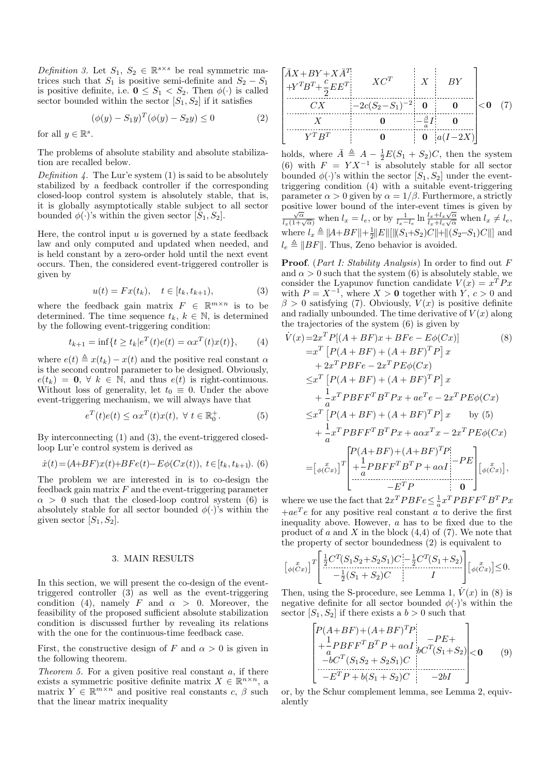Definition 3. Let  $S_1, S_2 \in \mathbb{R}^{s \times s}$  be real symmetric matrices such that  $S_1$  is positive semi-definite and  $S_2 - S_1$ is positive definite, i.e.  $\mathbf{0} \leq S_1 < S_2$ . Then  $\phi(\cdot)$  is called sector bounded within the sector  $[S_1, S_2]$  if it satisfies

$$
(\phi(y) - S_1 y)^T (\phi(y) - S_2 y) \le 0
$$
 (2)

for all  $y \in \mathbb{R}^s$ .

The problems of absolute stability and absolute stabilization are recalled below.

Definition  $\lambda$ . The Lur'e system (1) is said to be absolutely stabilized by a feedback controller if the corresponding closed-loop control system is absolutely stable, that is, it is globally asymptotically stable subject to all sector bounded  $\phi(\cdot)$ 's within the given sector  $[S_1, S_2]$ .

Here, the control input  $u$  is governed by a state feedback law and only computed and updated when needed, and is held constant by a zero-order hold until the next event occurs. Then, the considered event-triggered controller is given by

$$
u(t) = Fx(t_k), \quad t \in [t_k, t_{k+1}), \tag{3}
$$

where the feedback gain matrix  $F \in \mathbb{R}^{m \times n}$  is to be determined. The time sequence  $t_k, k \in \mathbb{N}$ , is determined by the following event-triggering condition:

$$
t_{k+1} = \inf\{t \ge t_k | e^T(t)e(t) = \alpha x^T(t)x(t)\},\qquad(4)
$$

where  $e(t) \triangleq x(t_k) - x(t)$  and the positive real constant  $\alpha$ is the second control parameter to be designed. Obviously,  $e(t_k) = 0, \forall k \in \mathbb{N}$ , and thus  $e(t)$  is right-continuous. Without loss of generality, let  $t_0 \equiv 0$ . Under the above event-triggering mechanism, we will always have that

$$
e^{T}(t)e(t) \leq \alpha x^{T}(t)x(t), \ \forall \ t \in \mathbb{R}_{0}^{+}.
$$
 (5)

By interconnecting (1) and (3), the event-triggered closedloop Lur'e control system is derived as

$$
\dot{x}(t) = (A+BF)x(t) + BFe(t) - E\phi(Cx(t)), \ t \in [t_k, t_{k+1}).
$$
 (6)

The problem we are interested in is to co-design the feedback gain matrix  $F$  and the event-triggering parameter  $\alpha > 0$  such that the closed-loop control system (6) is absolutely stable for all sector bounded  $\phi(\cdot)$ 's within the given sector  $[S_1, S_2]$ .

# 3. MAIN RESULTS

In this section, we will present the co-design of the eventtriggered controller (3) as well as the event-triggering condition (4), namely F and  $\alpha > 0$ . Moreover, the feasibility of the proposed sufficient absolute stabilization condition is discussed further by revealing its relations with the one for the continuous-time feedback case.

First, the constructive design of F and  $\alpha > 0$  is given in the following theorem.

Theorem 5. For a given positive real constant  $a$ , if there exists a symmetric positive definite matrix  $X \in \mathbb{R}^{n \times n}$ , a matrix  $Y \in \mathbb{R}^{m \times n}$  and positive real constants  $c, \beta$  such that the linear matrix inequality

| $\bar{A}X+BY+XA^T$<br>$\begin{vmatrix} \cdot \cdot \cdot \cdot & \cdot \\ +Y^T B^T + \frac{c}{2} E E^T \end{vmatrix}$ | $XC^T$                    | $\cdot$ $\cdot$ $X$ $\cdot$ | BY                 |                   |  |
|-----------------------------------------------------------------------------------------------------------------------|---------------------------|-----------------------------|--------------------|-------------------|--|
| CX                                                                                                                    | $ -2c(S_2-S_1)^{-2} $ 0 0 |                             |                    | $ <$ <b>0</b> (7) |  |
|                                                                                                                       |                           | $-\frac{\beta}{\epsilon}I$  |                    |                   |  |
| $V^T R^T$                                                                                                             |                           |                             | <b>0</b> $a(I-2X)$ |                   |  |

holds, where  $\overline{A} \triangleq A - \frac{1}{2}E(S_1 + S_2)C$ , then the system (6) with  $F = Y X^{-1}$  is absolutely stable for all sector bounded  $\phi(\cdot)$ 's within the sector  $[S_1, S_2]$  under the eventtriggering condition (4) with a suitable event-triggering parameter  $\alpha > 0$  given by  $\alpha = 1/\beta$ . Furthermore, a strictly positive lower bound of the inter-event times is given by  $\frac{\sqrt{\alpha}}{l_x(1+\sqrt{\alpha})}$  when  $l_x = l_e$ , or by  $\frac{1}{l_x-l_e} \ln \frac{l_x+l_x\sqrt{\alpha}}{l_x+l_e\sqrt{\alpha}}$  when  $l_x \neq l_e$ ,  $\frac{l_x + l_x \sqrt{\alpha}}{l_x + l_e \sqrt{\alpha}}$  when  $l_x \neq l_e$ , where  $l_x \triangleq ||A + BF|| + \frac{1}{2}||E||[||(S_1 + S_2)C|| + ||(S_2 - S_1)C||]$  and  $l_e \triangleq ||BF||$ . Thus, Zeno behavior is avoided.

Proof. (Part I: Stability Analysis) In order to find out F and  $\alpha > 0$  such that the system (6) is absolutely stable, we consider the Lyapunov function candidate  $V(x) = x^T P x$ with  $P = X^{-1}$ , where  $X > 0$  together with  $\overline{Y}, c > 0$  and  $\beta > 0$  satisfying (7). Obviously,  $V(x)$  is positive definite and radially unbounded. The time derivative of  $V(x)$  along the trajectories of the system (6) is given by

$$
\dot{V}(x) = 2x^T P[(A + BF)x + BFe - E\phi(Cx)] \qquad (8)
$$
\n
$$
= x^T [P(A + BF) + (A + BF)^T P] x
$$
\n
$$
+ 2x^T P B F e - 2x^T P E\phi(Cx)
$$
\n
$$
\leq x^T [P(A + BF) + (A + BF)^T P] x
$$
\n
$$
+ \frac{1}{a} x^T P B F F^T B^T P x + a e^T e - 2x^T P E\phi(Cx)
$$
\n
$$
\leq x^T [P(A + BF) + (A + BF)^T P] x \qquad \text{by (5)}
$$
\n
$$
+ \frac{1}{a} x^T P B F F^T B^T P x + a \alpha x^T x - 2x^T P E\phi(Cx)
$$
\n
$$
= [\phi(Cx)]^T \begin{bmatrix} P(A + BF) + (A + BF)^T P \\ + \frac{1}{a} P B F F^T B^T P + a \alpha I \end{bmatrix} - PE \\ -E^T P \qquad \qquad \text{or} \qquad \begin{bmatrix} x \\ y \\ z \end{bmatrix}
$$

where we use the fact that  $2x^TPBFe \leq \frac{1}{a}x^TPBFF^TB^TPx$  $+ae<sup>T</sup>e$  for any positive real constant a to derive the first inequality above. However, a has to be fixed due to the product of a and X in the block  $(4,4)$  of  $(7)$ . We note that the property of sector boundedness (2) is equivalent to

$$
\begin{bmatrix} \int_{\phi(Cx)}^{x} \left[ \frac{1}{2} C^{T} (S_1 S_2 + S_2 S_1) C \right] - \frac{1}{2} C^{T} (S_1 + S_2) \\ - \frac{1}{2} (S_1 + S_2) C & I \end{bmatrix} \begin{bmatrix} x \\ \phi(Cx) \end{bmatrix} \leq 0.
$$

Then, using the S-procedure, see Lemma 1,  $\dot{V}(x)$  in (8) is negative definite for all sector bounded  $\phi(\cdot)$ 's within the sector  $[S_1, S_2]$  if there exists a  $b > 0$  such that

$$
\begin{bmatrix} P(A+BF) + (A+BF)^{T}P \\ +\frac{1}{2}PBFF^{T}B^{T}P + a\alpha I \\ \frac{a}{2}D^{T}(S_{1}S_{2} + S_{2}S_{1})C \\ \frac{1}{2}D^{T}(S_{1}S_{2} + S_{2}S_{2})C \\ -E^{T}P + b(S_{1} + S_{2})C \end{bmatrix} 0 (9)
$$

or, by the Schur complement lemma, see Lemma 2, equivalently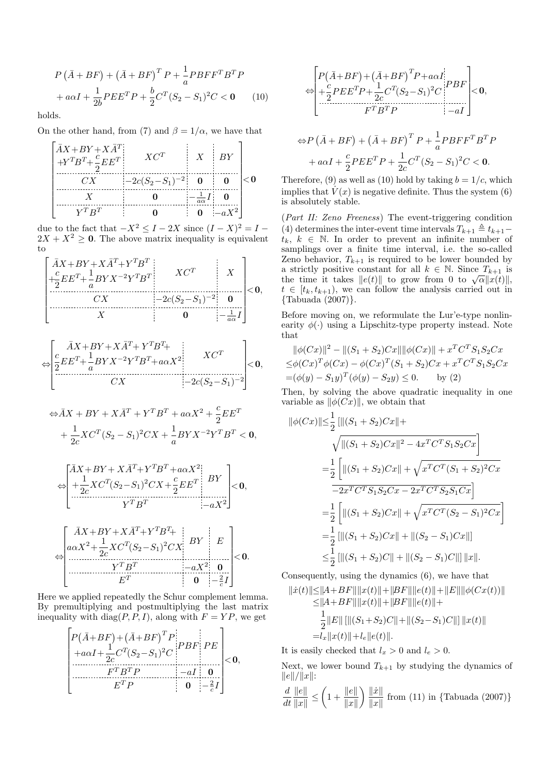$$
P(\bar{A} + BF) + (\bar{A} + BF)^{T} P + \frac{1}{a} P B F F^{T} B^{T} P + a\alpha I + \frac{1}{2b} P E E^{T} P + \frac{b}{2} C^{T} (S_{2} - S_{1})^{2} C < 0
$$
 (10)

holds.

On the other hand, from (7) and  $\beta = 1/\alpha$ , we have that

$$
\begin{bmatrix} \bar{A}X + BY + X\bar{A}^{T} \\ +Y^{T}B^{T} + \frac{c}{2}EE^{T} & XC^{T} & X & BY \\ \hline & CX & -2c(S_{2} - S_{1})^{-2} & \mathbf{0} & \mathbf{0} \\ & X & \mathbf{0} & -\frac{1}{a\alpha}I & \mathbf{0} \\ & & Y^{T}B^{T} & \mathbf{0} & \mathbf{0} & -aX^{2} \end{bmatrix} < \mathbf{0}
$$

due to the fact that  $-X^2 \leq I - 2X$  since  $(I - X)^2 = I 2X + X^2 \geq 0$ . The above matrix inequality is equivalent  $t<sub>O</sub>$ 

$$
\left[\begin{array}{c|c}\n\bar{A}X + BY + X\bar{A}^T + Y^T B^T \\
+ \frac{c}{2}EE^T + \frac{1}{2}BYX^{-2}Y^T B^T \\
\hline\nCX & -2c(S_2 - S_1)^{-2} & \mathbf{0} \\
\hline\nX & \mathbf{0} & -\frac{1}{a\alpha}I\n\end{array}\right] < \mathbf{0},
$$

$$
\Leftrightarrow \begin{bmatrix} \bar{A}X+BY+X\bar{A}^T+Y^TB^T+\\ \frac{c}{2}EE^T+\frac{1}{a}BYX^{-2}Y^TB^T+a\alpha X^2\\ CX \end{bmatrix} \times C^T\\ \begin{bmatrix}XC^T\\-2c(S_2-S_1)^{-2} \end{bmatrix}<0,
$$

$$
\Leftrightarrow \bar{A}X + BY + X\bar{A}^T + Y^T B^T + a\alpha X^2 + \frac{c}{2} E E^T
$$

$$
+ \frac{1}{2c} X C^T (S_2 - S_1)^2 C X + \frac{1}{a} BY X^{-2} Y^T B^T < 0,
$$

$$
\Leftrightarrow \begin{bmatrix} \bar{A}X + BY + X\bar{A}^T + Y^TB^T + a\alpha X^2 \\ +\frac{1}{2c}XC^T(S_2 - S_1)^2CX + \frac{c}{2}EE^T & BY \\ Y^TB^T & \xrightarrow[-aX^2] \end{bmatrix} < 0,
$$

$$
\Leftrightarrow \begin{bmatrix} \bar{A}X + BY + X\bar{A}^T + Y^TB^T + \\ a\alpha X^2 + \frac{1}{2c}XC^T(S_2 - S_1)^2CX & BY & E \\ \cdots & \cdots & \cdots & \cdots \\ Y^TB^T & & -aX^2 & 0 \\ \hline & & & & 0 & -\frac{2}{c}I \end{bmatrix} < 0.
$$

Here we applied repeatedly the Schur complement lemma. By premultiplying and postmultiplying the last matrix inequality with diag( $P, P, I$ ), along with  $F = YP$ , we get

$$
\left[\begin{array}{c|c}\nP(\bar{A}+BF) + (\bar{A}+BF)^{T}P \\
+a\alpha I + \frac{1}{2c}C^{T}(S_{2}-S_{1})^{2}C & PBF & PE \\
\vdots & \vdots & \ddots & \vdots \\
\hline\n & F^{T}B^{T}P & -aI & 0 \\
\hline\n & E^{T}P & 0 & -\frac{2}{c}I\n\end{array}\right] < 0,
$$

$$
\Longleftrightarrow \begin{bmatrix} P(\bar{A}+BF)+(\bar{A}+BF)^{T}P+a\alpha I\\ +\frac{c}{2}PEE^{T}P+\frac{1}{2c}C^{T}(S_{2}-S_{1})^{2}C\\ +\frac{c}{2}F^{T}B^{T}P\end{bmatrix}<0,
$$

$$
\Leftrightarrow P\left(\bar{A} + BF\right) + \left(\bar{A} + BF\right)^T P + \frac{1}{a} PBFF^T B^T P
$$

$$
+ a\alpha I + \frac{c}{2} PEE^T P + \frac{1}{2c} C^T (S_2 - S_1)^2 C < 0.
$$

Therefore, (9) as well as (10) hold by taking  $b = 1/c$ , which implies that  $V(x)$  is negative definite. Thus the system (6) is absolutely stable.

(Part II: Zeno Freeness) The event-triggering condition (4) determines the inter-event time intervals  $T_{k+1} \triangleq t_{k+1}$  $t_k, k \in \mathbb{N}$ . In order to prevent an infinite number of samplings over a finite time interval, i.e. the so-called Zeno behavior,  $T_{k+1}$  is required to be lower bounded by a strictly positive constant for all  $k \in \mathbb{N}$ . Since  $T_{k+1}$  is the time it takes  $||e(t)||$  to grow from 0 to  $\sqrt{\alpha}||x(t)||$ ,  $t \in [t_k, t_{k+1}),$  we can follow the analysis carried out in {Tabuada (2007)}.

Before moving on, we reformulate the Lur'e-type nonlinearity  $\phi(\cdot)$  using a Lipschitz-type property instead. Note that

$$
\|\phi(Cx)\|^2 - \|(S_1 + S_2)Cx\| \|\phi(Cx)\| + x^T C^T S_1 S_2 C x
$$
  
\n
$$
\leq \phi(Cx)^T \phi(Cx) - \phi(Cx)^T (S_1 + S_2) C x + x^T C^T S_1 S_2 C x
$$
  
\n
$$
= (\phi(y) - S_1 y)^T (\phi(y) - S_2 y) \leq 0. \qquad \text{by (2)}
$$

Then, by solving the above quadratic inequality in one variable as  $\|\phi(Cx)\|$ , we obtain that

$$
\|\phi(Cx)\| \leq \frac{1}{2} \left[ \|(S_1 + S_2)Cx\| + \frac{\sqrt{\|(S_1 + S_2)Cx\|^2 - 4x^T C^T S_1 S_2 C x}} \right]
$$
  
\n
$$
= \frac{1}{2} \left[ \|(S_1 + S_2)Cx\| + \sqrt{x^T C^T (S_1 + S_2)^2 C x} - \frac{1}{2x^T C^T S_1 S_2 C x - 2x^T C^T S_2 S_1 C x} \right]
$$
  
\n
$$
= \frac{1}{2} \left[ \|(S_1 + S_2)Cx\| + \sqrt{x^T C^T (S_2 - S_1)^2 C x} \right]
$$
  
\n
$$
= \frac{1}{2} \left[ \|(S_1 + S_2)Cx\| + \|(S_2 - S_1)Cx\| \right]
$$
  
\n
$$
\leq \frac{1}{2} \left[ \|(S_1 + S_2)C\| + \|(S_2 - S_1)C\| \right] \|x\|.
$$

Consequently, using the dynamics (6), we have that  $\|\dot{x}(t)\|\leq \|A+BF\|\|x(t)\|+\|BF\|\|e(t)\|+\|F\|\|_{\phi}(Cx(t))\|$ 

$$
||x(t)|| \le ||A + BF|| ||x(t)|| + ||BF|| ||e(t)|| + ||E|| ||\phi(Cx(t))||
$$
  
\n
$$
\le ||A + BF|| ||x(t)|| + ||BF|| ||e(t)|| +
$$
  
\n
$$
\frac{1}{2} ||E|| ||(S_1 + S_2)C|| + ||(S_2 - S_1)C|| || ||x(t)||
$$
  
\n
$$
= |x||x(t)|| + l_e ||e(t)||.
$$

It is easily checked that  $l_x > 0$  and  $l_e > 0$ .

Next, we lower bound  $T_{k+1}$  by studying the dynamics of  $||e||/||x||$ :

$$
\frac{d}{dt} \frac{\|e\|}{\|x\|} \le \left(1 + \frac{\|e\|}{\|x\|}\right) \frac{\|x\|}{\|x\|} \text{ from (11) in {Tabuada (2007)}}\}
$$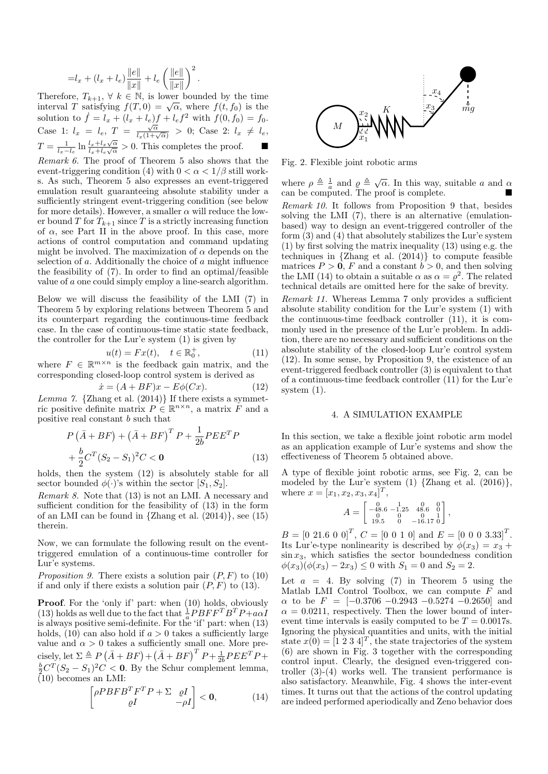$$
= l_x + (l_x + l_e) \frac{||e||}{||x||} + l_e \left(\frac{||e||}{||x||}\right)^2.
$$

Therefore,  $T_{k+1}$ ,  $\forall k \in \mathbb{N}$ , is lower bounded by the time interval T satisfying  $f(T, 0) = \sqrt{\alpha}$ , where  $f(t, f_0)$  is the solution to  $\dot{f} = l_x + (l_x + l_e)f + l_e f^2$  with  $f(0, f_0) = f_0$ . Case 1:  $l_x = l_e$ ,  $T = \frac{\sqrt{\alpha}}{l_x(1+\sqrt{\alpha})} > 0$ ; Case 2:  $l_x \neq l_e$ ,  $T = \frac{1}{l_x - l_e} \ln \frac{l_x + l_x \sqrt{\alpha}}{l_x + l_e \sqrt{\alpha}}$  $\frac{l_x+l_x\sqrt{\alpha}}{l_x+l_e\sqrt{\alpha}} > 0$ . This completes the proof.  $\Box$ Remark 6. The proof of Theorem 5 also shows that the

event-triggering condition (4) with  $0 < \alpha < 1/\beta$  still works. As such, Theorem 5 also expresses an event-triggered emulation result guaranteeing absolute stability under a sufficiently stringent event-triggering condition (see below for more details). However, a smaller  $\alpha$  will reduce the lower bound T for  $T_{k+1}$  since T is a strictly increasing function of  $\alpha$ , see Part II in the above proof. In this case, more actions of control computation and command updating might be involved. The maximization of  $\alpha$  depends on the selection of a. Additionally the choice of a might influence the feasibility of (7). In order to find an optimal/feasible value of a one could simply employ a line-search algorithm.

Below we will discuss the feasibility of the LMI (7) in Theorem 5 by exploring relations between Theorem 5 and its counterpart regarding the continuous-time feedback case. In the case of continuous-time static state feedback, the controller for the Lur'e system (1) is given by

$$
u(t) = Fx(t), \quad t \in \mathbb{R}_0^+, \tag{11}
$$

 $u(t) = Fx(t), \quad t \in \mathbb{R}_0^+$ , (11)<br>where  $F \in \mathbb{R}^{m \times n}$  is the feedback gain matrix, and the corresponding closed-loop control system is derived as

$$
\dot{x} = (A + BF)x - E\phi(Cx). \tag{12}
$$

Lemma 7. {Zhang et al.  $(2014)$ } If there exists a symmetric positive definite matrix  $P \in \mathbb{R}^{n \times n}$ , a matrix  $\tilde{F}$  and a positive real constant b such that

$$
P(\bar{A} + BF) + (\bar{A} + BF)^{T} P + \frac{1}{2b} PEE^{T} P + \frac{b}{2} C^{T} (S_{2} - S_{1})^{2} C < 0
$$
\n(13)

holds, then the system  $(12)$  is absolutely stable for all sector bounded  $\phi(\cdot)$ 's within the sector  $[S_1, S_2]$ .

Remark 8. Note that (13) is not an LMI. A necessary and sufficient condition for the feasibility of (13) in the form of an LMI can be found in  $\{Zhang et al. (2014)\}\$ , see  $(15)$ therein.

Now, we can formulate the following result on the eventtriggered emulation of a continuous-time controller for Lur'e systems.

*Proposition 9.* There exists a solution pair  $(P, F)$  to (10) if and only if there exists a solution pair  $(P, F)$  to  $(13)$ .

Proof. For the 'only if' part: when (10) holds, obviously (13) holds as well due to the fact that  $\frac{1}{a}$   $\stackrel{\frown}{P}$  $\stackrel{\frown}{B}$  $\stackrel{\frown}{F}$  $\stackrel{\frown}{P}$  $\uparrow$  $\stackrel{\frown}{A}$  $\stackrel{\frown}{A}$ is always positive semi-definite. For the 'if' part: when (13) holds,  $(10)$  can also hold if  $a > 0$  takes a sufficiently large value and  $\alpha > 0$  takes a sufficiently small one. More precisely, let  $\Sigma \triangleq P(\bar{A} + BF) + (\bar{A} + BF)^T P + \frac{1}{2b} P E E^T P +$  $\frac{b}{2}C^{T}(S_2-S_1)^2C < 0$ . By the Schur complement lemma,  $(10)$  becomes an LMI:

$$
\begin{bmatrix} \rho P B F B^T F^T P + \Sigma & \varrho I \\ \varrho I & -\rho I \end{bmatrix} < \mathbf{0}, \tag{14}
$$



Fig. 2. Flexible joint robotic arms

where  $\rho \triangleq \frac{1}{a}$  and  $\rho \triangleq \sqrt{\alpha}$ . In this way, suitable a and  $\alpha$ can be computed. The proof is complete.

Remark 10. It follows from Proposition 9 that, besides solving the LMI (7), there is an alternative (emulationbased) way to design an event-triggered controller of the form  $(3)$  and  $(4)$  that absolutely stabilizes the Lur'e system (1) by first solving the matrix inequality (13) using e.g. the techniques in {Zhang et al. (2014)} to compute feasible matrices  $P > 0$ , F and a constant  $b > 0$ , and then solving the LMI (14) to obtain a suitable  $\alpha$  as  $\alpha = \varrho^2$ . The related technical details are omitted here for the sake of brevity.

Remark 11. Whereas Lemma 7 only provides a sufficient absolute stability condition for the Lur'e system (1) with the continuous-time feedback controller (11), it is commonly used in the presence of the Lur'e problem. In addition, there are no necessary and sufficient conditions on the absolute stability of the closed-loop Lur'e control system (12). In some sense, by Proposition 9, the existence of an event-triggered feedback controller (3) is equivalent to that of a continuous-time feedback controller (11) for the Lur'e system (1).

#### 4. A SIMULATION EXAMPLE

In this section, we take a flexible joint robotic arm model as an application example of Lur'e systems and show the effectiveness of Theorem 5 obtained above.

A type of flexible joint robotic arms, see Fig. 2, can be modeled by the Lur'e system  $(1)$  {Zhang et al.  $(2016)$ }, where  $x = [x_1, x_2, x_3, x_4]^T$ ,

$$
A = \begin{bmatrix} 0 & 1 & 0 & 0 \\ -48.6 & -1.25 & 48.6 & 0 \\ 0 & 0 & 0 & 1 \\ 19.5 & 0 & -16.17 & 0 \end{bmatrix},
$$

 $B = \begin{bmatrix} 0 & 21.6 & 0 & 0 \end{bmatrix}^T$ ,  $C = \begin{bmatrix} 0 & 0 & 1 & 0 \end{bmatrix}$  and  $E = \begin{bmatrix} 0 & 0 & 0 & 3.33 \end{bmatrix}^T$ . Its Lur'e-type nonlinearity is described by  $\phi(x_3) = x_3 +$  $\sin x_3$ , which satisfies the sector boundedness condition  $\phi(x_3)(\phi(x_3) - 2x_3) \leq 0$  with  $S_1 = 0$  and  $S_2 = 2$ .

Let  $a = 4$ . By solving (7) in Theorem 5 using the Matlab LMI Control Toolbox, we can compute  $F$  and  $\alpha$  to be  $F = [-0.3706 - 0.2943 - 0.5274 - 0.2650]$  and  $\alpha = 0.0211$ , respectively. Then the lower bound of interevent time intervals is easily computed to be  $T = 0.0017$ s. Ignoring the physical quantities and units, with the initial state  $x(0) = [1 \ 2 \ 3 \ 4]^T$ , the state trajectories of the system (6) are shown in Fig. 3 together with the corresponding control input. Clearly, the designed even-triggered controller (3)-(4) works well. The transient performance is also satisfactory. Meanwhile, Fig. 4 shows the inter-event times. It turns out that the actions of the control updating are indeed performed aperiodically and Zeno behavior does